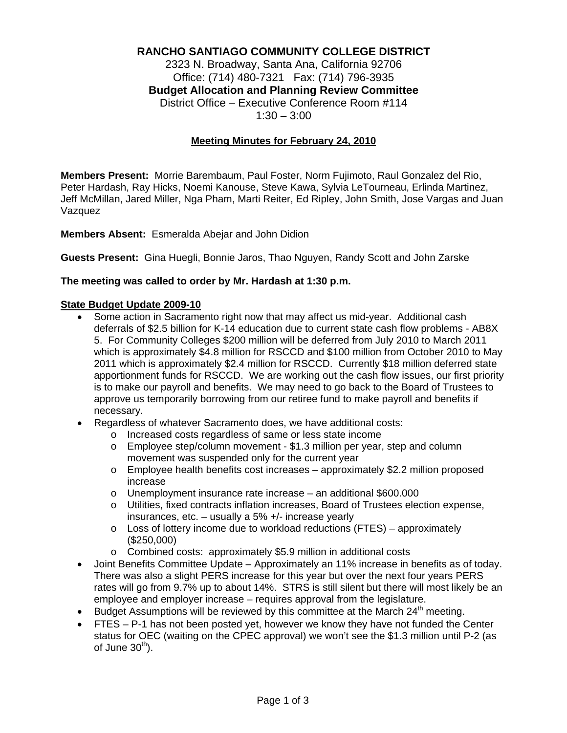# **RANCHO SANTIAGO COMMUNITY COLLEGE DISTRICT**

2323 N. Broadway, Santa Ana, California 92706 Office: (714) 480-7321 Fax: (714) 796-3935 **Budget Allocation and Planning Review Committee** District Office – Executive Conference Room #114  $1:30 - 3:00$ 

# **Meeting Minutes for February 24, 2010**

**Members Present:** Morrie Barembaum, Paul Foster, Norm Fujimoto, Raul Gonzalez del Rio, Peter Hardash, Ray Hicks, Noemi Kanouse, Steve Kawa, Sylvia LeTourneau, Erlinda Martinez, Jeff McMillan, Jared Miller, Nga Pham, Marti Reiter, Ed Ripley, John Smith, Jose Vargas and Juan Vazquez

### **Members Absent:** Esmeralda Abejar and John Didion

**Guests Present:** Gina Huegli, Bonnie Jaros, Thao Nguyen, Randy Scott and John Zarske

#### **The meeting was called to order by Mr. Hardash at 1:30 p.m.**

### **State Budget Update 2009-10**

- Some action in Sacramento right now that may affect us mid-year. Additional cash deferrals of \$2.5 billion for K-14 education due to current state cash flow problems - AB8X 5. For Community Colleges \$200 million will be deferred from July 2010 to March 2011 which is approximately \$4.8 million for RSCCD and \$100 million from October 2010 to May 2011 which is approximately \$2.4 million for RSCCD. Currently \$18 million deferred state apportionment funds for RSCCD. We are working out the cash flow issues, our first priority is to make our payroll and benefits. We may need to go back to the Board of Trustees to approve us temporarily borrowing from our retiree fund to make payroll and benefits if necessary.
- Regardless of whatever Sacramento does, we have additional costs:
	- o Increased costs regardless of same or less state income
	- o Employee step/column movement \$1.3 million per year, step and column movement was suspended only for the current year
	- $\circ$  Employee health benefits cost increases approximately \$2.2 million proposed increase
	- o Unemployment insurance rate increase an additional \$600.000
	- o Utilities, fixed contracts inflation increases, Board of Trustees election expense, insurances, etc. – usually a 5% +/- increase yearly
	- $\circ$  Loss of lottery income due to workload reductions (FTES) approximately (\$250,000)
	- o Combined costs: approximately \$5.9 million in additional costs
- Joint Benefits Committee Update Approximately an 11% increase in benefits as of today. There was also a slight PERS increase for this year but over the next four years PERS rates will go from 9.7% up to about 14%. STRS is still silent but there will most likely be an employee and employer increase – requires approval from the legislature.
- Budget Assumptions will be reviewed by this committee at the March  $24<sup>th</sup>$  meeting.
- FTES P-1 has not been posted yet, however we know they have not funded the Center status for OEC (waiting on the CPEC approval) we won't see the \$1.3 million until P-2 (as of June  $30<sup>th</sup>$ ).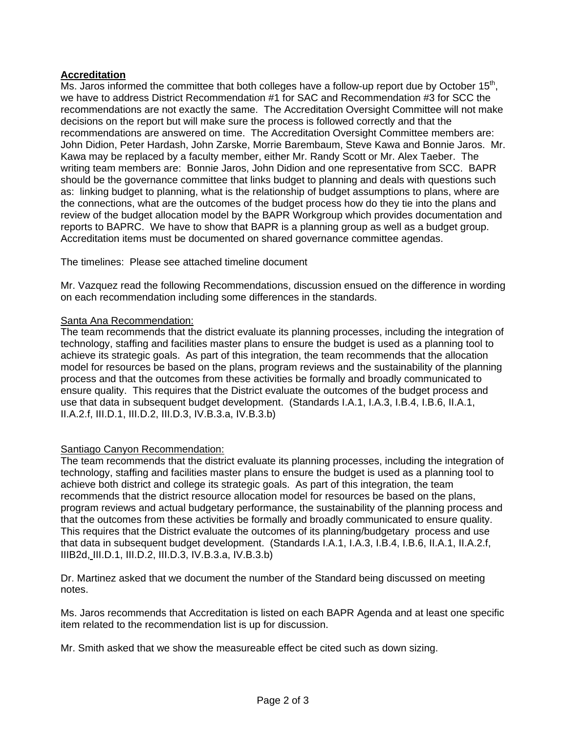# **Accreditation**

Ms. Jaros informed the committee that both colleges have a follow-up report due by October  $15<sup>th</sup>$ , we have to address District Recommendation #1 for SAC and Recommendation #3 for SCC the recommendations are not exactly the same. The Accreditation Oversight Committee will not make decisions on the report but will make sure the process is followed correctly and that the recommendations are answered on time. The Accreditation Oversight Committee members are: John Didion, Peter Hardash, John Zarske, Morrie Barembaum, Steve Kawa and Bonnie Jaros. Mr. Kawa may be replaced by a faculty member, either Mr. Randy Scott or Mr. Alex Taeber. The writing team members are: Bonnie Jaros, John Didion and one representative from SCC. BAPR should be the governance committee that links budget to planning and deals with questions such as: linking budget to planning, what is the relationship of budget assumptions to plans, where are the connections, what are the outcomes of the budget process how do they tie into the plans and review of the budget allocation model by the BAPR Workgroup which provides documentation and reports to BAPRC. We have to show that BAPR is a planning group as well as a budget group. Accreditation items must be documented on shared governance committee agendas.

The timelines: Please see attached timeline document

Mr. Vazquez read the following Recommendations, discussion ensued on the difference in wording on each recommendation including some differences in the standards.

# Santa Ana Recommendation:

The team recommends that the district evaluate its planning processes, including the integration of technology, staffing and facilities master plans to ensure the budget is used as a planning tool to achieve its strategic goals. As part of this integration, the team recommends that the allocation model for resources be based on the plans, program reviews and the sustainability of the planning process and that the outcomes from these activities be formally and broadly communicated to ensure quality. This requires that the District evaluate the outcomes of the budget process and use that data in subsequent budget development. (Standards I.A.1, I.A.3, I.B.4, I.B.6, II.A.1, II.A.2.f, III.D.1, III.D.2, III.D.3, IV.B.3.a, IV.B.3.b)

# Santiago Canyon Recommendation:

The team recommends that the district evaluate its planning processes, including the integration of technology, staffing and facilities master plans to ensure the budget is used as a planning tool to achieve both district and college its strategic goals. As part of this integration, the team recommends that the district resource allocation model for resources be based on the plans, program reviews and actual budgetary performance, the sustainability of the planning process and that the outcomes from these activities be formally and broadly communicated to ensure quality. This requires that the District evaluate the outcomes of its planning/budgetary process and use that data in subsequent budget development. (Standards I.A.1, I.A.3, I.B.4, I.B.6, II.A.1, II.A.2.f, IIIB2d, III.D.1, III.D.2, III.D.3, IV.B.3.a, IV.B.3.b)

Dr. Martinez asked that we document the number of the Standard being discussed on meeting notes.

Ms. Jaros recommends that Accreditation is listed on each BAPR Agenda and at least one specific item related to the recommendation list is up for discussion.

Mr. Smith asked that we show the measureable effect be cited such as down sizing.